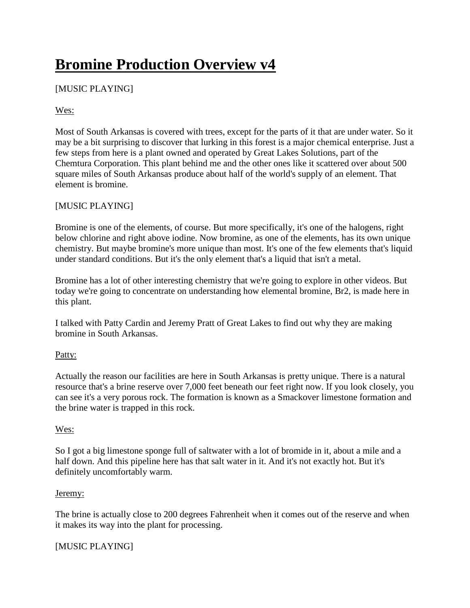# **Bromine Production Overview v4**

# [MUSIC PLAYING]

# Wes:

Most of South Arkansas is covered with trees, except for the parts of it that are under water. So it may be a bit surprising to discover that lurking in this forest is a major chemical enterprise. Just a few steps from here is a plant owned and operated by Great Lakes Solutions, part of the Chemtura Corporation. This plant behind me and the other ones like it scattered over about 500 square miles of South Arkansas produce about half of the world's supply of an element. That element is bromine.

# [MUSIC PLAYING]

Bromine is one of the elements, of course. But more specifically, it's one of the halogens, right below chlorine and right above iodine. Now bromine, as one of the elements, has its own unique chemistry. But maybe bromine's more unique than most. It's one of the few elements that's liquid under standard conditions. But it's the only element that's a liquid that isn't a metal.

Bromine has a lot of other interesting chemistry that we're going to explore in other videos. But today we're going to concentrate on understanding how elemental bromine, Br2, is made here in this plant.

I talked with Patty Cardin and Jeremy Pratt of Great Lakes to find out why they are making bromine in South Arkansas.

# Patty:

Actually the reason our facilities are here in South Arkansas is pretty unique. There is a natural resource that's a brine reserve over 7,000 feet beneath our feet right now. If you look closely, you can see it's a very porous rock. The formation is known as a Smackover limestone formation and the brine water is trapped in this rock.

## Wes:

So I got a big limestone sponge full of saltwater with a lot of bromide in it, about a mile and a half down. And this pipeline here has that salt water in it. And it's not exactly hot. But it's definitely uncomfortably warm.

## Jeremy:

The brine is actually close to 200 degrees Fahrenheit when it comes out of the reserve and when it makes its way into the plant for processing.

# [MUSIC PLAYING]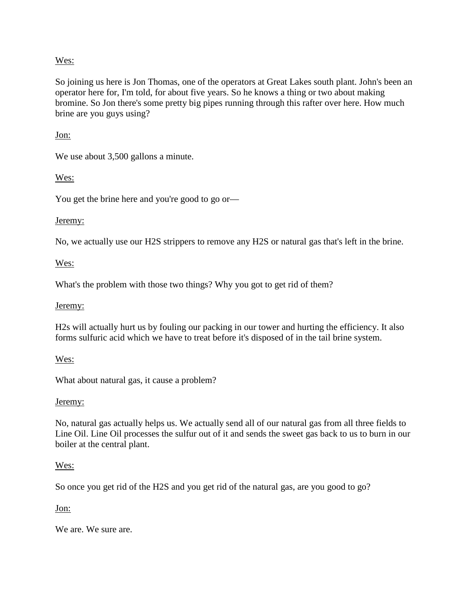#### Wes:

So joining us here is Jon Thomas, one of the operators at Great Lakes south plant. John's been an operator here for, I'm told, for about five years. So he knows a thing or two about making bromine. So Jon there's some pretty big pipes running through this rafter over here. How much brine are you guys using?

#### Jon:

We use about 3,500 gallons a minute.

Wes:

You get the brine here and you're good to go or—

#### Jeremy:

No, we actually use our H2S strippers to remove any H2S or natural gas that's left in the brine.

#### Wes:

What's the problem with those two things? Why you got to get rid of them?

#### Jeremy:

H2s will actually hurt us by fouling our packing in our tower and hurting the efficiency. It also forms sulfuric acid which we have to treat before it's disposed of in the tail brine system.

#### Wes:

What about natural gas, it cause a problem?

#### Jeremy:

No, natural gas actually helps us. We actually send all of our natural gas from all three fields to Line Oil. Line Oil processes the sulfur out of it and sends the sweet gas back to us to burn in our boiler at the central plant.

#### Wes:

So once you get rid of the H2S and you get rid of the natural gas, are you good to go?

Jon:

We are. We sure are.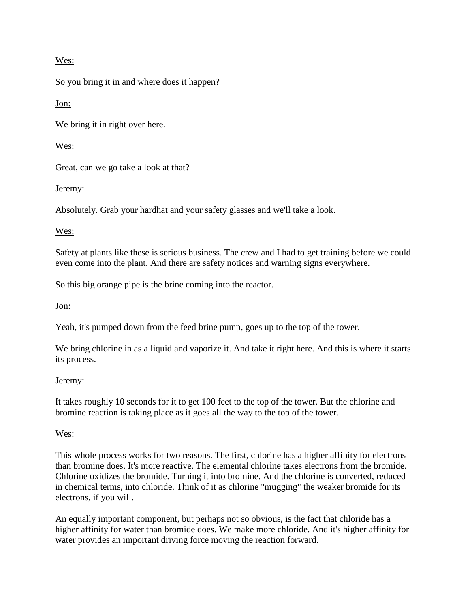## Wes:

So you bring it in and where does it happen?

Jon:

We bring it in right over here.

Wes:

Great, can we go take a look at that?

Jeremy:

Absolutely. Grab your hardhat and your safety glasses and we'll take a look.

## Wes:

Safety at plants like these is serious business. The crew and I had to get training before we could even come into the plant. And there are safety notices and warning signs everywhere.

So this big orange pipe is the brine coming into the reactor.

Jon:

Yeah, it's pumped down from the feed brine pump, goes up to the top of the tower.

We bring chlorine in as a liquid and vaporize it. And take it right here. And this is where it starts its process.

## Jeremy:

It takes roughly 10 seconds for it to get 100 feet to the top of the tower. But the chlorine and bromine reaction is taking place as it goes all the way to the top of the tower.

# Wes:

This whole process works for two reasons. The first, chlorine has a higher affinity for electrons than bromine does. It's more reactive. The elemental chlorine takes electrons from the bromide. Chlorine oxidizes the bromide. Turning it into bromine. And the chlorine is converted, reduced in chemical terms, into chloride. Think of it as chlorine "mugging" the weaker bromide for its electrons, if you will.

An equally important component, but perhaps not so obvious, is the fact that chloride has a higher affinity for water than bromide does. We make more chloride. And it's higher affinity for water provides an important driving force moving the reaction forward.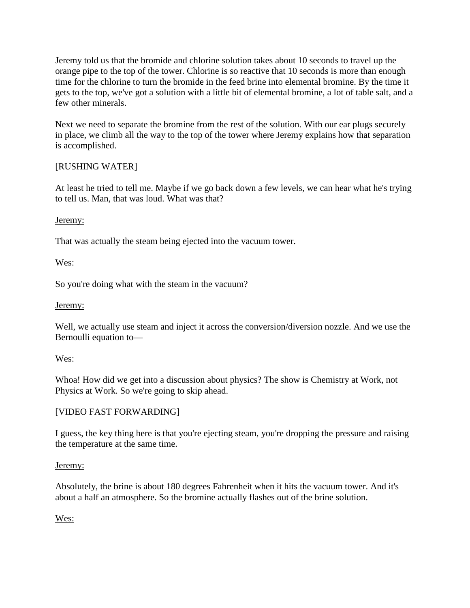Jeremy told us that the bromide and chlorine solution takes about 10 seconds to travel up the orange pipe to the top of the tower. Chlorine is so reactive that 10 seconds is more than enough time for the chlorine to turn the bromide in the feed brine into elemental bromine. By the time it gets to the top, we've got a solution with a little bit of elemental bromine, a lot of table salt, and a few other minerals.

Next we need to separate the bromine from the rest of the solution. With our ear plugs securely in place, we climb all the way to the top of the tower where Jeremy explains how that separation is accomplished.

## [RUSHING WATER]

At least he tried to tell me. Maybe if we go back down a few levels, we can hear what he's trying to tell us. Man, that was loud. What was that?

## Jeremy:

That was actually the steam being ejected into the vacuum tower.

## Wes:

So you're doing what with the steam in the vacuum?

## Jeremy:

Well, we actually use steam and inject it across the conversion/diversion nozzle. And we use the Bernoulli equation to—

## Wes:

Whoa! How did we get into a discussion about physics? The show is Chemistry at Work, not Physics at Work. So we're going to skip ahead.

# [VIDEO FAST FORWARDING]

I guess, the key thing here is that you're ejecting steam, you're dropping the pressure and raising the temperature at the same time.

## Jeremy:

Absolutely, the brine is about 180 degrees Fahrenheit when it hits the vacuum tower. And it's about a half an atmosphere. So the bromine actually flashes out of the brine solution.

# Wes: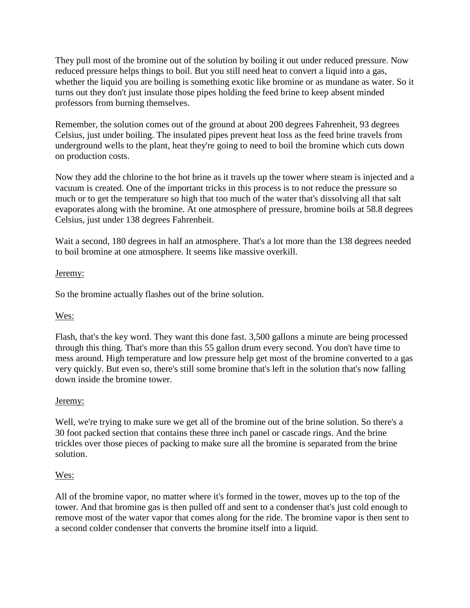They pull most of the bromine out of the solution by boiling it out under reduced pressure. Now reduced pressure helps things to boil. But you still need heat to convert a liquid into a gas, whether the liquid you are boiling is something exotic like bromine or as mundane as water. So it turns out they don't just insulate those pipes holding the feed brine to keep absent minded professors from burning themselves.

Remember, the solution comes out of the ground at about 200 degrees Fahrenheit, 93 degrees Celsius, just under boiling. The insulated pipes prevent heat loss as the feed brine travels from underground wells to the plant, heat they're going to need to boil the bromine which cuts down on production costs.

Now they add the chlorine to the hot brine as it travels up the tower where steam is injected and a vacuum is created. One of the important tricks in this process is to not reduce the pressure so much or to get the temperature so high that too much of the water that's dissolving all that salt evaporates along with the bromine. At one atmosphere of pressure, bromine boils at 58.8 degrees Celsius, just under 138 degrees Fahrenheit.

Wait a second, 180 degrees in half an atmosphere. That's a lot more than the 138 degrees needed to boil bromine at one atmosphere. It seems like massive overkill.

## Jeremy:

So the bromine actually flashes out of the brine solution.

# Wes:

Flash, that's the key word. They want this done fast. 3,500 gallons a minute are being processed through this thing. That's more than this 55 gallon drum every second. You don't have time to mess around. High temperature and low pressure help get most of the bromine converted to a gas very quickly. But even so, there's still some bromine that's left in the solution that's now falling down inside the bromine tower.

## Jeremy:

Well, we're trying to make sure we get all of the bromine out of the brine solution. So there's a 30 foot packed section that contains these three inch panel or cascade rings. And the brine trickles over those pieces of packing to make sure all the bromine is separated from the brine solution.

## Wes:

All of the bromine vapor, no matter where it's formed in the tower, moves up to the top of the tower. And that bromine gas is then pulled off and sent to a condenser that's just cold enough to remove most of the water vapor that comes along for the ride. The bromine vapor is then sent to a second colder condenser that converts the bromine itself into a liquid.